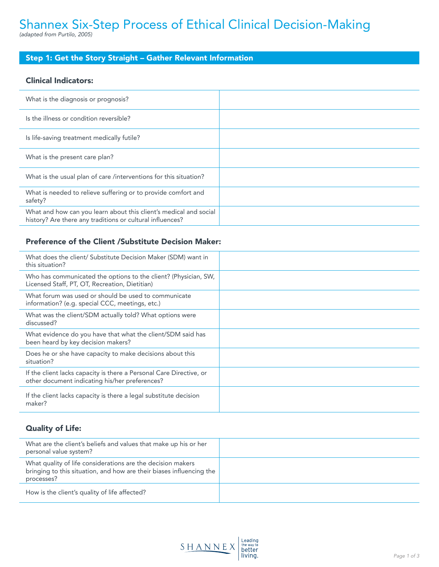# Shannex Six-Step Process of Ethical Clinical Decision-Making *(adapted from Purtilo, 2005)*

# Step 1: Get the Story Straight – Gather Relevant Information

#### Clinical Indicators:

| What is the diagnosis or prognosis?                                                                                            |  |
|--------------------------------------------------------------------------------------------------------------------------------|--|
| Is the illness or condition reversible?                                                                                        |  |
| Is life-saving treatment medically futile?                                                                                     |  |
| What is the present care plan?                                                                                                 |  |
| What is the usual plan of care /interventions for this situation?                                                              |  |
| What is needed to relieve suffering or to provide comfort and<br>safety?                                                       |  |
| What and how can you learn about this client's medical and social<br>history? Are there any traditions or cultural influences? |  |

## Preference of the Client /Substitute Decision Maker:

| What does the client/ Substitute Decision Maker (SDM) want in<br>this situation?                                      |  |
|-----------------------------------------------------------------------------------------------------------------------|--|
| Who has communicated the options to the client? (Physician, SW,<br>Licensed Staff, PT, OT, Recreation, Dietitian)     |  |
| What forum was used or should be used to communicate<br>information? (e.g. special CCC, meetings, etc.)               |  |
| What was the client/SDM actually told? What options were<br>discussed?                                                |  |
| What evidence do you have that what the client/SDM said has<br>been heard by key decision makers?                     |  |
| Does he or she have capacity to make decisions about this<br>situation?                                               |  |
| If the client lacks capacity is there a Personal Care Directive, or<br>other document indicating his/her preferences? |  |
| If the client lacks capacity is there a legal substitute decision<br>maker?                                           |  |

## Quality of Life:

| What are the client's beliefs and values that make up his or her<br>personal value system?                                                        |  |
|---------------------------------------------------------------------------------------------------------------------------------------------------|--|
| What quality of life considerations are the decision makers<br>bringing to this situation, and how are their biases influencing the<br>processes? |  |
| How is the client's quality of life affected?                                                                                                     |  |

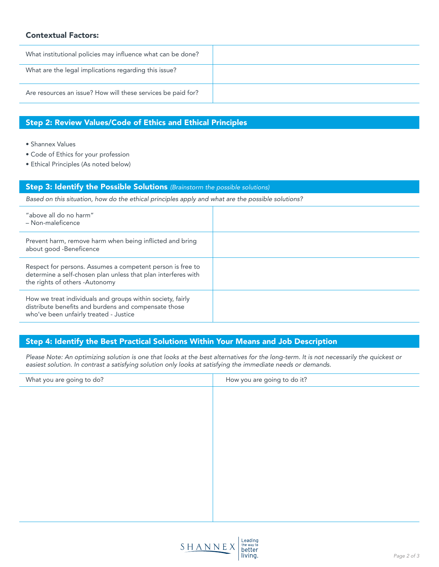#### Contextual Factors:

| What institutional policies may influence what can be done?  |  |
|--------------------------------------------------------------|--|
| What are the legal implications regarding this issue?        |  |
| Are resources an issue? How will these services be paid for? |  |

## Step 2: Review Values/Code of Ethics and Ethical Principles

• Shannex Values

- Code of Ethics for your profession
- Ethical Principles (As noted below)

#### Step 3: Identify the Possible Solutions *(Brainstorm the possible solutions)*

*Based on this situation, how do the ethical principles apply and what are the possible solutions?*

| "above all do no harm"<br>- Non-maleficence                                                                                                                   |  |
|---------------------------------------------------------------------------------------------------------------------------------------------------------------|--|
| Prevent harm, remove harm when being inflicted and bring<br>about good -Beneficence                                                                           |  |
| Respect for persons. Assumes a competent person is free to<br>determine a self-chosen plan unless that plan interferes with<br>the rights of others -Autonomy |  |
| How we treat individuals and groups within society, fairly<br>distribute benefits and burdens and compensate those<br>who've been unfairly treated - Justice  |  |

#### Step 4: Identify the Best Practical Solutions Within Your Means and Job Description

*Please Note: An optimizing solution is one that looks at the best alternatives for the long-term. It is not necessarily the quickest or easiest solution. In contrast a satisfying solution only looks at satisfying the immediate needs or demands.*

| What you are going to do? | How you are going to do it?                               |
|---------------------------|-----------------------------------------------------------|
|                           |                                                           |
|                           |                                                           |
|                           |                                                           |
|                           |                                                           |
|                           |                                                           |
|                           |                                                           |
|                           |                                                           |
|                           |                                                           |
|                           |                                                           |
|                           |                                                           |
| SHANNEX                   | Leading<br>the way to<br>better<br>living.<br>Page 2 of 3 |